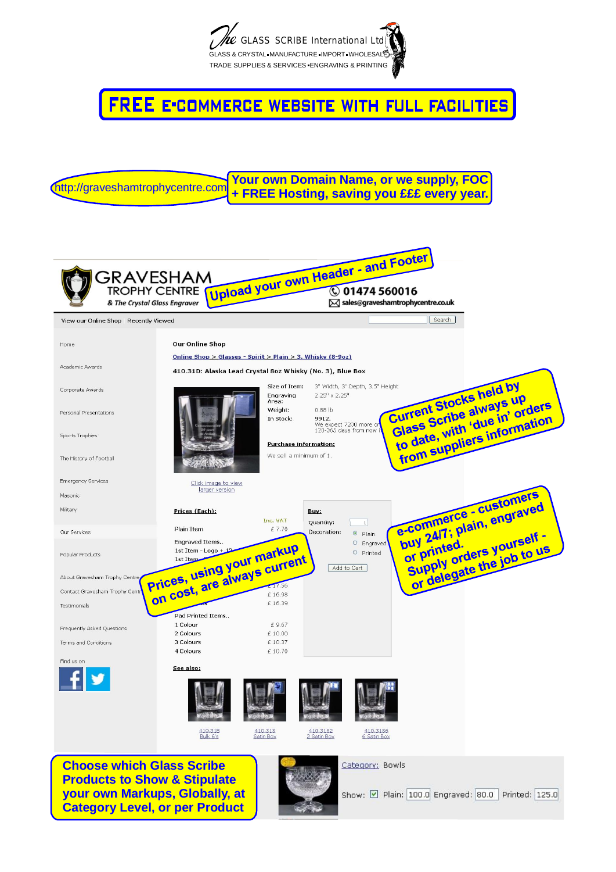

**FREE E-COMMERCE WEBSITE WITH FULL FACILITIES** 

http://graveshamtrophycentre.com**/ Your own Domain Name, or we supply, FOC + FREE Hosting, saving you £££ every year.**

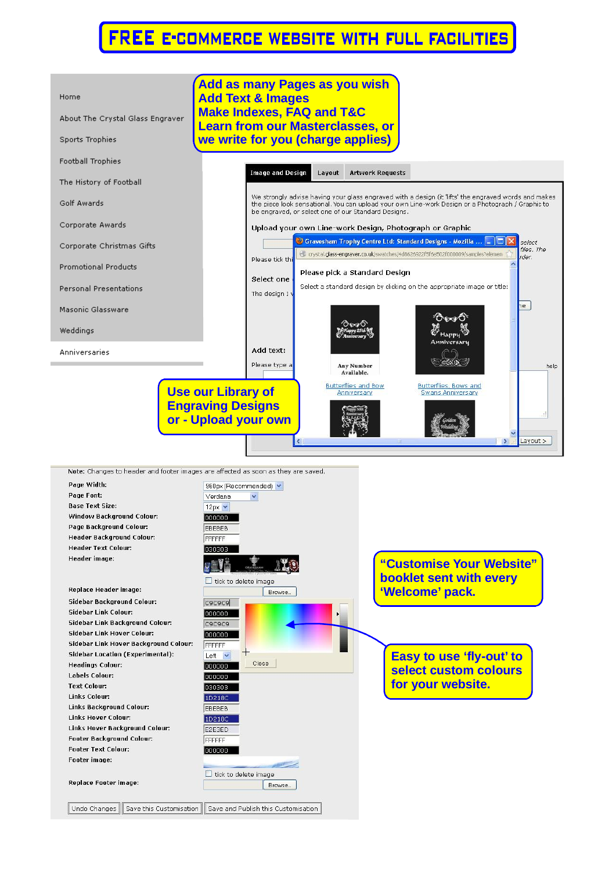## **FREE E-COMMERCE WEBSITE WITH FULL FACILITIES**



Note: Changes to header and footer images are affected as soon as they are saved.

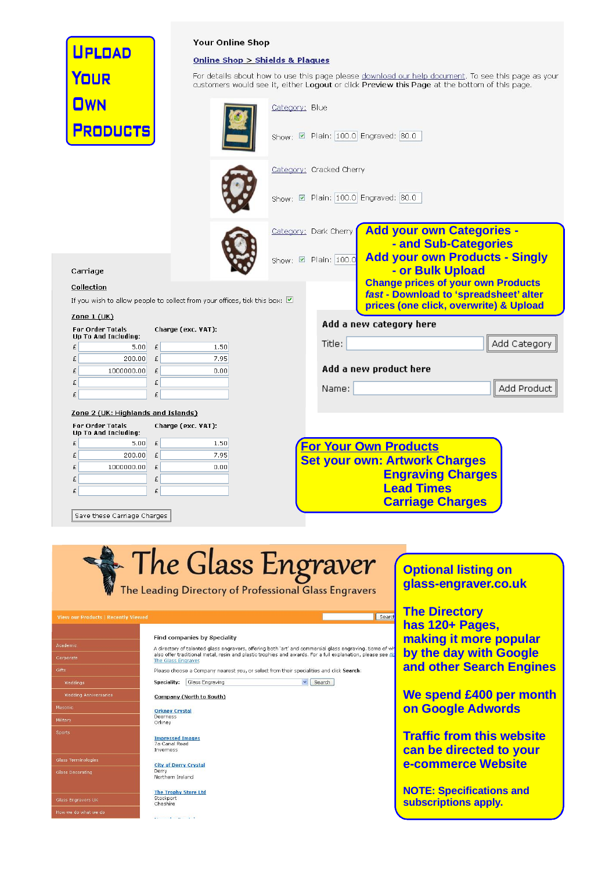